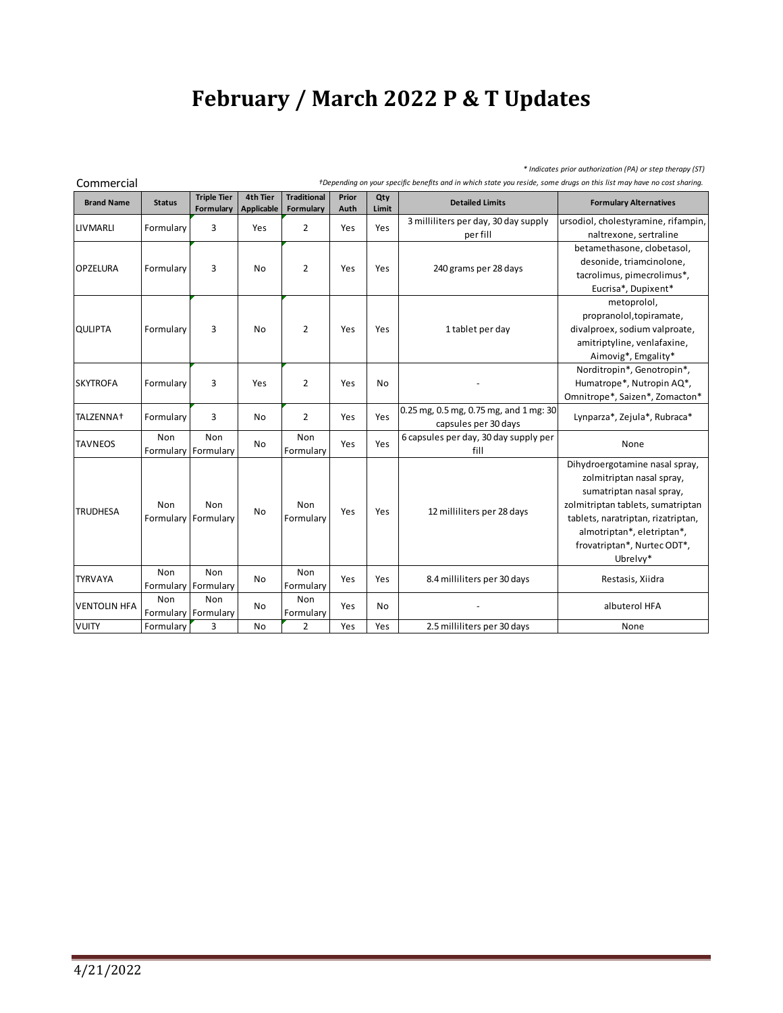## **February / March 2022 P & T Updates**

*\* Indicates prior authorization (PA) or step therapy (ST)*

Commercial *†Depending on your specific benefits and in which state you reside, some drugs on this list may have no cost sharing.*

| CUITIITEI UKI         |                            |                                 |                        |                                        |               |              |                                                                |                                                                                                                                                                                                                                             |  |
|-----------------------|----------------------------|---------------------------------|------------------------|----------------------------------------|---------------|--------------|----------------------------------------------------------------|---------------------------------------------------------------------------------------------------------------------------------------------------------------------------------------------------------------------------------------------|--|
| <b>Brand Name</b>     | <b>Status</b>              | <b>Triple Tier</b><br>Formulary | 4th Tier<br>Applicable | <b>Traditional</b><br><b>Formulary</b> | Prior<br>Auth | Qty<br>Limit | <b>Detailed Limits</b>                                         | <b>Formulary Alternatives</b>                                                                                                                                                                                                               |  |
| LIVMARLI              | Formulary                  | 3                               | Yes                    | $\overline{2}$                         | Yes           | Yes          | 3 milliliters per day, 30 day supply                           | ursodiol, cholestyramine, rifampin,                                                                                                                                                                                                         |  |
|                       |                            |                                 |                        |                                        |               |              | per fill                                                       | naltrexone, sertraline                                                                                                                                                                                                                      |  |
|                       |                            |                                 | No                     | $\overline{2}$                         | Yes           | Yes          |                                                                | betamethasone, clobetasol,                                                                                                                                                                                                                  |  |
| <b>OPZELURA</b>       | Formulary                  | 3                               |                        |                                        |               |              | 240 grams per 28 days                                          | desonide, triamcinolone,                                                                                                                                                                                                                    |  |
|                       |                            |                                 |                        |                                        |               |              |                                                                | tacrolimus, pimecrolimus*,                                                                                                                                                                                                                  |  |
|                       |                            |                                 |                        |                                        |               |              |                                                                | Eucrisa*, Dupixent*                                                                                                                                                                                                                         |  |
|                       |                            |                                 | No                     |                                        |               | Yes          |                                                                | metoprolol,                                                                                                                                                                                                                                 |  |
|                       |                            |                                 |                        |                                        |               |              |                                                                | propranolol, topiramate,                                                                                                                                                                                                                    |  |
| <b>QULIPTA</b>        | Formulary                  | 3                               |                        | $\overline{2}$                         | Yes           |              | 1 tablet per day                                               | divalproex, sodium valproate,                                                                                                                                                                                                               |  |
|                       |                            |                                 |                        |                                        |               |              |                                                                | amitriptyline, venlafaxine,                                                                                                                                                                                                                 |  |
|                       |                            |                                 |                        |                                        |               |              |                                                                | Aimovig*, Emgality*                                                                                                                                                                                                                         |  |
|                       |                            | 3                               | Yes                    | $\overline{2}$                         | Yes           | No           |                                                                | Norditropin*, Genotropin*,                                                                                                                                                                                                                  |  |
| <b>SKYTROFA</b>       | Formulary                  |                                 |                        |                                        |               |              |                                                                | Humatrope*, Nutropin AQ*,                                                                                                                                                                                                                   |  |
|                       |                            |                                 |                        |                                        |               |              |                                                                | Omnitrope*, Saizen*, Zomacton*                                                                                                                                                                                                              |  |
| TALZENNA <sup>+</sup> | Formulary                  | 3                               | No                     | $\overline{2}$                         | Yes           | Yes          | 0.25 mg, 0.5 mg, 0.75 mg, and 1 mg: 30<br>capsules per 30 days | Lynparza*, Zejula*, Rubraca*                                                                                                                                                                                                                |  |
| <b>TAVNEOS</b>        | Non                        | <b>Non</b>                      | No                     | Non                                    | Yes           | Yes          | 6 capsules per day, 30 day supply per                          | None                                                                                                                                                                                                                                        |  |
|                       |                            | Formulary Formulary             |                        | Formulary                              |               |              | fill                                                           |                                                                                                                                                                                                                                             |  |
| <b>TRUDHESA</b>       | Non<br>Formulary Formulary | Non                             | <b>No</b>              | Non<br>Formulary                       | Yes           | Yes          | 12 milliliters per 28 days                                     | Dihydroergotamine nasal spray,<br>zolmitriptan nasal spray,<br>sumatriptan nasal spray,<br>zolmitriptan tablets, sumatriptan<br>tablets, naratriptan, rizatriptan,<br>almotriptan*, eletriptan*,<br>frovatriptan*, Nurtec ODT*,<br>Ubrelvy* |  |
| <b>TYRVAYA</b>        | Non<br>Formulary Formulary | <b>Non</b>                      | No                     | Non<br>Formulary                       | Yes           | Yes          | 8.4 milliliters per 30 days                                    | Restasis, Xiidra                                                                                                                                                                                                                            |  |
| <b>VENTOLIN HFA</b>   | Non<br>Formulary Formulary | Non                             | <b>No</b>              | Non<br>Formulary                       | Yes           | No           |                                                                | albuterol HFA                                                                                                                                                                                                                               |  |
| <b>VUITY</b>          | Formulary                  | 3                               | <b>No</b>              | $\overline{2}$                         | Yes           | Yes          | 2.5 milliliters per 30 days                                    | None                                                                                                                                                                                                                                        |  |
|                       |                            |                                 |                        |                                        |               |              |                                                                |                                                                                                                                                                                                                                             |  |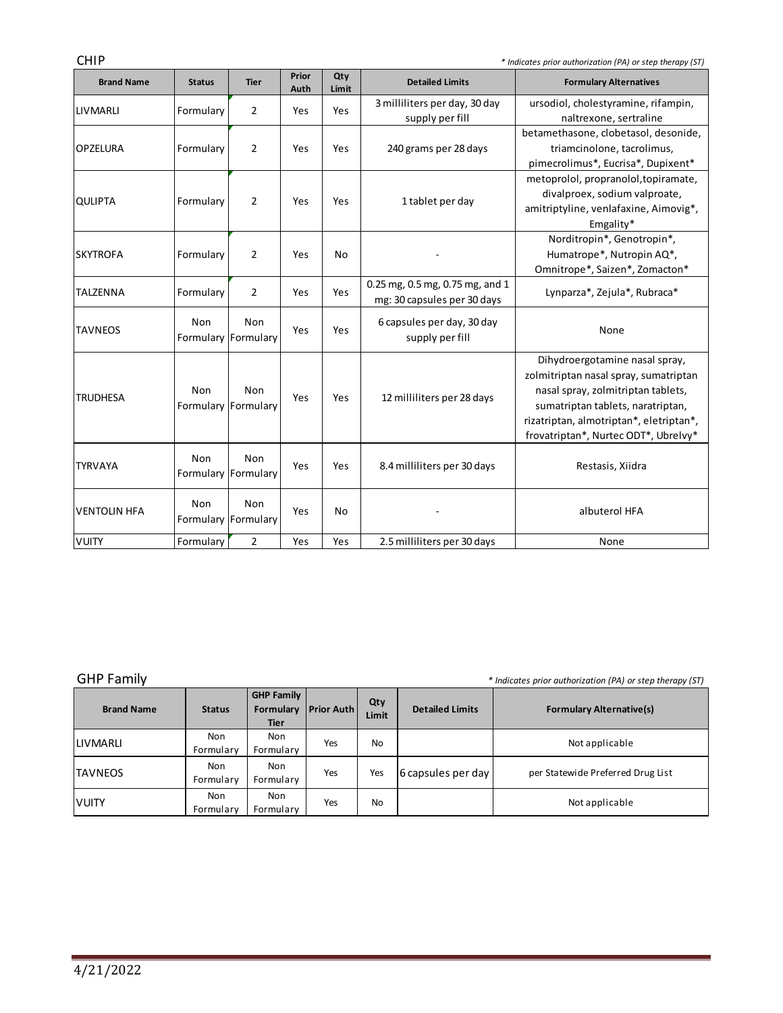CHIP *\* Indicates prior authorization (PA) or step therapy (ST)*

| <b>Brand Name</b>   | <b>Status</b>              | <b>Tier</b>                | Prior<br>Auth | Qty<br>Limit | <b>Detailed Limits</b>                                         | <b>Formulary Alternatives</b>                                                                                                                                                                                                         |
|---------------------|----------------------------|----------------------------|---------------|--------------|----------------------------------------------------------------|---------------------------------------------------------------------------------------------------------------------------------------------------------------------------------------------------------------------------------------|
| <b>LIVMARLI</b>     | Formulary                  | 2                          | Yes           | Yes          | 3 milliliters per day, 30 day<br>supply per fill               | ursodiol, cholestyramine, rifampin,<br>naltrexone, sertraline                                                                                                                                                                         |
| <b>OPZELURA</b>     | Formulary                  | $\overline{2}$             | Yes           | Yes          | 240 grams per 28 days                                          | betamethasone, clobetasol, desonide,<br>triamcinolone, tacrolimus,<br>pimecrolimus*, Eucrisa*, Dupixent*                                                                                                                              |
| <b>QULIPTA</b>      | Formulary                  | $\overline{2}$             | Yes           | Yes          | 1 tablet per day                                               | metoprolol, propranolol, topiramate,<br>divalproex, sodium valproate,<br>amitriptyline, venlafaxine, Aimovig*,<br>Emgality*                                                                                                           |
| <b>SKYTROFA</b>     | Formulary                  | $\overline{2}$             | Yes           | No           |                                                                | Norditropin*, Genotropin*,<br>Humatrope*, Nutropin AQ*,<br>Omnitrope*, Saizen*, Zomacton*                                                                                                                                             |
| <b>TALZENNA</b>     | Formulary                  | $\overline{2}$             | Yes           | Yes          | 0.25 mg, 0.5 mg, 0.75 mg, and 1<br>mg: 30 capsules per 30 days | Lynparza*, Zejula*, Rubraca*                                                                                                                                                                                                          |
| <b>TAVNEOS</b>      | Non                        | Non<br>Formulary Formulary | Yes           | Yes          | 6 capsules per day, 30 day<br>supply per fill                  | None                                                                                                                                                                                                                                  |
| <b>TRUDHESA</b>     | Non<br>Formulary Formulary | Non                        | Yes           | Yes          | 12 milliliters per 28 days                                     | Dihydroergotamine nasal spray,<br>zolmitriptan nasal spray, sumatriptan<br>nasal spray, zolmitriptan tablets,<br>sumatriptan tablets, naratriptan,<br>rizatriptan, almotriptan*, eletriptan*,<br>frovatriptan*, Nurtec ODT*, Ubrelvy* |
| <b>TYRVAYA</b>      | Non                        | Non<br>Formulary Formulary | Yes           | Yes          | 8.4 milliliters per 30 days                                    | Restasis, Xiidra                                                                                                                                                                                                                      |
| <b>VENTOLIN HFA</b> | Non                        | Non<br>Formulary Formulary | Yes           | <b>No</b>    |                                                                | albuterol HFA                                                                                                                                                                                                                         |
| VUITY               | Formulary                  | $\overline{2}$             | Yes           | Yes          | 2.5 milliliters per 30 days                                    | None                                                                                                                                                                                                                                  |

GHP Family *GHP Family \* Indicates prior authorization (PA) or step therapy (ST)* 

and the state of the state of

| <b>Brand Name</b> | <b>Status</b>    | <b>GHP Family</b><br>Formulary<br><b>Tier</b> | <b>Prior Auth</b> | Qty<br>Limit | <b>Detailed Limits</b> | <b>Formulary Alternative(s)</b>   |
|-------------------|------------------|-----------------------------------------------|-------------------|--------------|------------------------|-----------------------------------|
| <b>LIVMARLI</b>   | Non<br>Formulary | <b>Non</b><br>Formulary                       | Yes               | No           |                        | Not applicable                    |
| ITAVNEOS          | Non<br>Formulary | <b>Non</b><br>Formulary                       | Yes               | Yes          | 6 capsules per day     | per Statewide Preferred Drug List |
| <b>VUITY</b>      | Non<br>Formulary | <b>Non</b><br>Formulary                       | Yes               | No           |                        | Not applicable                    |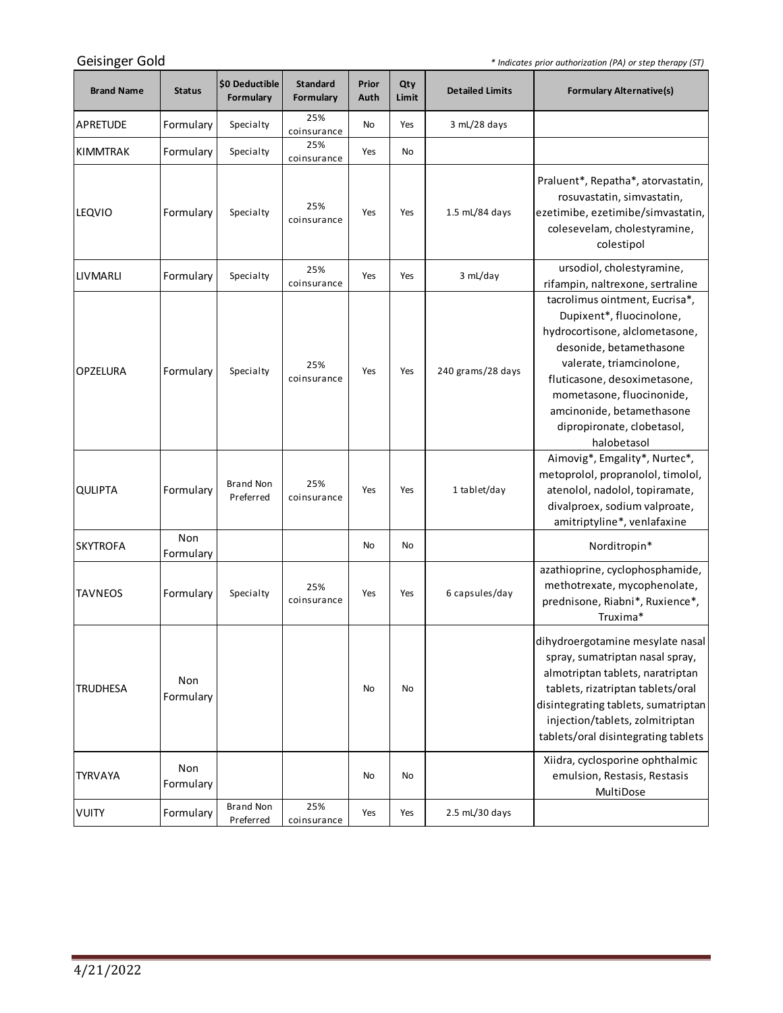*\* Indicates prior authorization (PA) or step therapy (ST)*

<u> 1989 - Jan Barnett, fransk politiker (</u>

| <b>Brand Name</b> | <b>Status</b>    | \$0 Deductible<br>Formulary   | <b>Standard</b><br>Formulary | Prior<br>Auth | Qty<br>Limit | <b>Detailed Limits</b> | <b>Formulary Alternative(s)</b>                                                                                                                                                                                                                                                            |
|-------------------|------------------|-------------------------------|------------------------------|---------------|--------------|------------------------|--------------------------------------------------------------------------------------------------------------------------------------------------------------------------------------------------------------------------------------------------------------------------------------------|
| APRETUDE          | Formulary        | Specialty                     | 25%<br>coinsurance           | No            | Yes          | 3 mL/28 days           |                                                                                                                                                                                                                                                                                            |
| <b>KIMMTRAK</b>   | Formulary        | Specialty                     | 25%<br>coinsurance           | Yes           | No           |                        |                                                                                                                                                                                                                                                                                            |
| <b>LEQVIO</b>     | Formulary        | Specialty                     | 25%<br>coinsurance           | Yes           | Yes          | 1.5 mL/84 days         | Praluent*, Repatha*, atorvastatin,<br>rosuvastatin, simvastatin,<br>ezetimibe, ezetimibe/simvastatin,<br>colesevelam, cholestyramine,<br>colestipol                                                                                                                                        |
| LIVMARLI          | Formulary        | Specialty                     | 25%<br>coinsurance           | Yes           | Yes          | 3 mL/day               | ursodiol, cholestyramine,<br>rifampin, naltrexone, sertraline                                                                                                                                                                                                                              |
| <b>OPZELURA</b>   | Formulary        | Specialty                     | 25%<br>coinsurance           | Yes           | Yes          | 240 grams/28 days      | tacrolimus ointment, Eucrisa*,<br>Dupixent*, fluocinolone,<br>hydrocortisone, alclometasone,<br>desonide, betamethasone<br>valerate, triamcinolone,<br>fluticasone, desoximetasone,<br>mometasone, fluocinonide,<br>amcinonide, betamethasone<br>dipropironate, clobetasol,<br>halobetasol |
| <b>QULIPTA</b>    | Formulary        | <b>Brand Non</b><br>Preferred | 25%<br>coinsurance           | Yes           | Yes          | 1 tablet/day           | Aimovig*, Emgality*, Nurtec*,<br>metoprolol, propranolol, timolol,<br>atenolol, nadolol, topiramate,<br>divalproex, sodium valproate,<br>amitriptyline*, venlafaxine                                                                                                                       |
| <b>SKYTROFA</b>   | Non<br>Formulary |                               |                              | No            | No           |                        | Norditropin*                                                                                                                                                                                                                                                                               |
| <b>TAVNEOS</b>    | Formulary        | Specialty                     | 25%<br>coinsurance           | Yes           | Yes          | 6 capsules/day         | azathioprine, cyclophosphamide,<br>methotrexate, mycophenolate,<br>prednisone, Riabni*, Ruxience*,<br>Truxima*                                                                                                                                                                             |
| <b>TRUDHESA</b>   | Non<br>Formulary |                               |                              | No            | No           |                        | dihydroergotamine mesylate nasal<br>spray, sumatriptan nasal spray,<br>almotriptan tablets, naratriptan<br>tablets, rizatriptan tablets/oral<br>disintegrating tablets, sumatriptan<br>injection/tablets, zolmitriptan<br>tablets/oral disintegrating tablets                              |
| <b>TYRVAYA</b>    | Non<br>Formulary |                               |                              | No            | No           |                        | Xiidra, cyclosporine ophthalmic<br>emulsion, Restasis, Restasis<br>MultiDose                                                                                                                                                                                                               |
| <b>VUITY</b>      | Formulary        | <b>Brand Non</b><br>Preferred | 25%<br>coinsurance           | Yes           | Yes          | 2.5 mL/30 days         |                                                                                                                                                                                                                                                                                            |